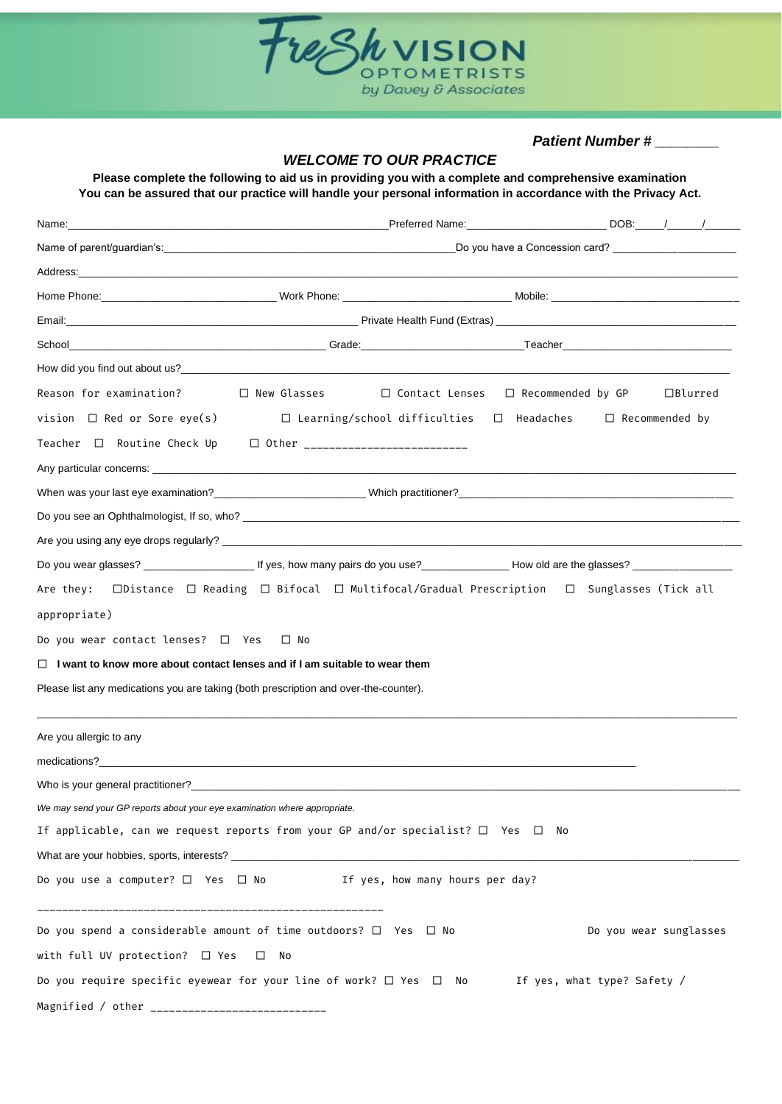

*Patient Number # \_\_\_\_\_\_\_\_*

## *WELCOME TO OUR PRACTICE*

**Please complete the following to aid us in providing you with a complete and comprehensive examination You can be assured that our practice will handle your personal information in accordance with the Privacy Act.**

|                                                                                                                | _Preferred Name:_________________________________DOB:______/_______/____________ |                                                                            |  |  |                        |
|----------------------------------------------------------------------------------------------------------------|----------------------------------------------------------------------------------|----------------------------------------------------------------------------|--|--|------------------------|
|                                                                                                                |                                                                                  |                                                                            |  |  |                        |
|                                                                                                                |                                                                                  |                                                                            |  |  |                        |
|                                                                                                                |                                                                                  |                                                                            |  |  |                        |
|                                                                                                                |                                                                                  |                                                                            |  |  |                        |
|                                                                                                                |                                                                                  |                                                                            |  |  |                        |
|                                                                                                                |                                                                                  |                                                                            |  |  |                        |
| Reason for examination?                                                                                        | $\Box$ New Glasses $\Box$ Contact Lenses $\Box$ Recommended by GP                |                                                                            |  |  | $\Box$ Blurred         |
| vision $\Box$ Red or Sore eye(s)                                                                               |                                                                                  | $\Box$ Learning/school difficulties $\Box$ Headaches $\Box$ Recommended by |  |  |                        |
| Teacher □ Routine Check Up  □ Other _________________________                                                  |                                                                                  |                                                                            |  |  |                        |
|                                                                                                                |                                                                                  |                                                                            |  |  |                        |
|                                                                                                                |                                                                                  |                                                                            |  |  |                        |
|                                                                                                                |                                                                                  |                                                                            |  |  |                        |
|                                                                                                                |                                                                                  |                                                                            |  |  |                        |
|                                                                                                                |                                                                                  |                                                                            |  |  |                        |
| Are they:  □Distance  □ Reading  □ Bifocal  □ Multifocal/Gradual Prescription  □ Sunglasses (Tick all          |                                                                                  |                                                                            |  |  |                        |
| appropriate)                                                                                                   |                                                                                  |                                                                            |  |  |                        |
| Do you wear contact lenses? $\Box$ Yes $\Box$ No                                                               |                                                                                  |                                                                            |  |  |                        |
| $\Box$ I want to know more about contact lenses and if I am suitable to wear them                              |                                                                                  |                                                                            |  |  |                        |
| Please list any medications you are taking (both prescription and over-the-counter).                           |                                                                                  |                                                                            |  |  |                        |
| Are you allergic to any                                                                                        |                                                                                  |                                                                            |  |  |                        |
|                                                                                                                |                                                                                  |                                                                            |  |  |                        |
|                                                                                                                |                                                                                  |                                                                            |  |  |                        |
| We may send your GP reports about your eye examination where appropriate.                                      |                                                                                  |                                                                            |  |  |                        |
| If applicable, can we request reports from your GP and/or specialist? $\Box$ Yes $\Box$ No                     |                                                                                  |                                                                            |  |  |                        |
|                                                                                                                |                                                                                  |                                                                            |  |  |                        |
| Do you use a computer? $\Box$ Yes $\Box$ No $\Box$ If yes, how many hours per day?                             |                                                                                  |                                                                            |  |  |                        |
| Do you spend a considerable amount of time outdoors? $\Box$ Yes $\Box$ No                                      |                                                                                  |                                                                            |  |  | Do you wear sunglasses |
| with full UV protection? $\Box$ Yes                                                                            | $\square$ No                                                                     |                                                                            |  |  |                        |
| Do you require specific eyewear for your line of work? $\Box$ Yes $\Box$ No $\Box$ If yes, what type? Safety / |                                                                                  |                                                                            |  |  |                        |
|                                                                                                                |                                                                                  |                                                                            |  |  |                        |